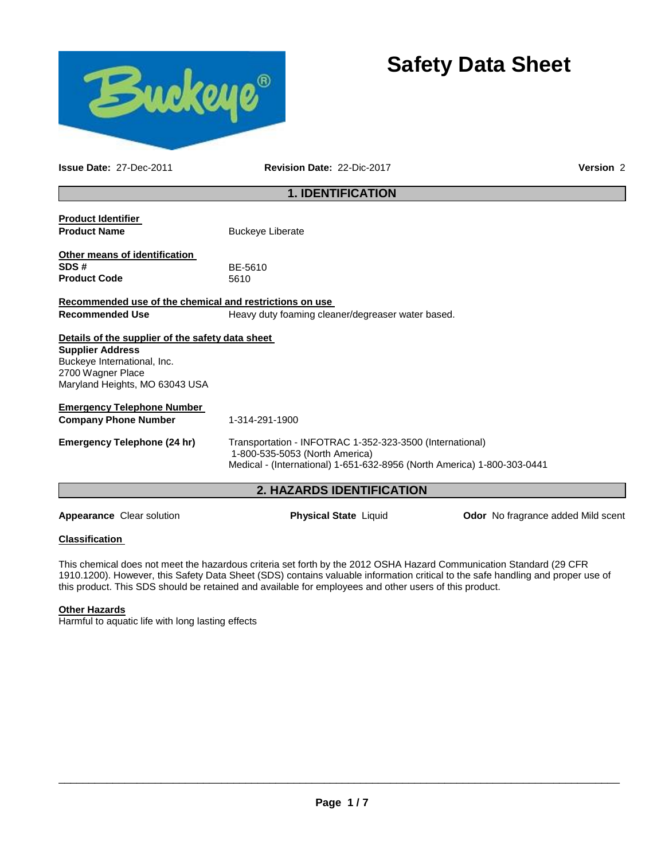

# **Safety Data Sheet**

**Issue Date:** 27-Dec-2011 **Revision Date:** 22-Dic-2017 **Version** 2

# **1. IDENTIFICATION**

| <b>Product Identifier</b><br><b>Product Name</b>                                                                                                                  | <b>Buckeye Liberate</b>                                                                                                                                               |
|-------------------------------------------------------------------------------------------------------------------------------------------------------------------|-----------------------------------------------------------------------------------------------------------------------------------------------------------------------|
| Other means of identification<br>SDS#<br><b>Product Code</b>                                                                                                      | BE-5610<br>5610                                                                                                                                                       |
| Recommended use of the chemical and restrictions on use                                                                                                           |                                                                                                                                                                       |
| <b>Recommended Use</b>                                                                                                                                            | Heavy duty foaming cleaner/degreaser water based.                                                                                                                     |
| Details of the supplier of the safety data sheet<br><b>Supplier Address</b><br>Buckeye International, Inc.<br>2700 Wagner Place<br>Maryland Heights, MO 63043 USA |                                                                                                                                                                       |
| <b>Emergency Telephone Number</b>                                                                                                                                 |                                                                                                                                                                       |
| <b>Company Phone Number</b>                                                                                                                                       | 1-314-291-1900                                                                                                                                                        |
| Emergency Telephone (24 hr)                                                                                                                                       | Transportation - INFOTRAC 1-352-323-3500 (International)<br>1-800-535-5053 (North America)<br>Medical - (International) 1-651-632-8956 (North America) 1-800-303-0441 |

# **2. HAZARDS IDENTIFICATION**

Appearance Clear solution **Physical State** Liquid **Odor No fragrance added Mild scent** 

#### **Classification**

This chemical does not meet the hazardous criteria set forth by the 2012 OSHA Hazard Communication Standard (29 CFR 1910.1200). However, this Safety Data Sheet (SDS) contains valuable information critical to the safe handling and proper use of this product. This SDS should be retained and available for employees and other users of this product.

## **Other Hazards**

Harmful to aquatic life with long lasting effects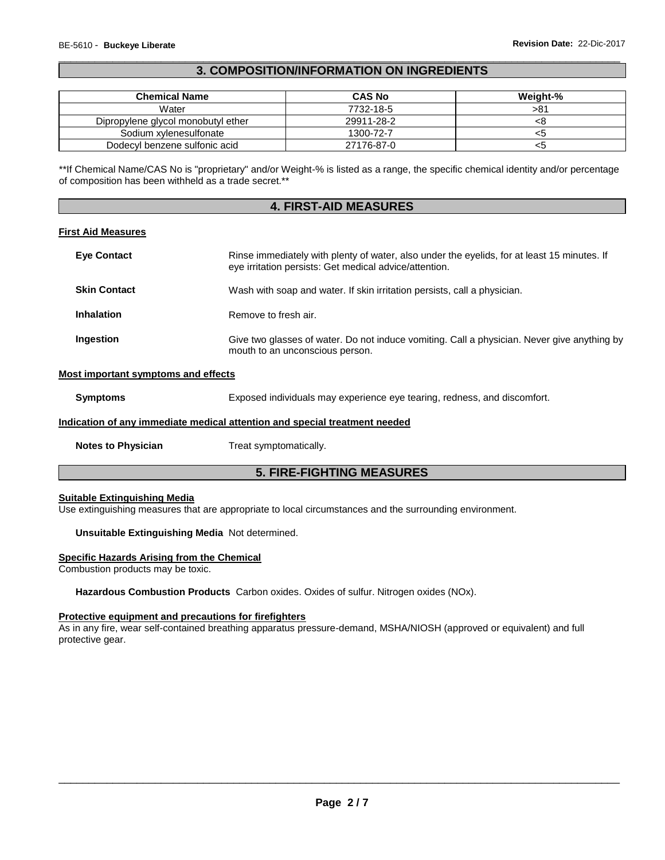# \_\_\_\_\_\_\_\_\_\_\_\_\_\_\_\_\_\_\_\_\_\_\_\_\_\_\_\_\_\_\_\_\_\_\_\_\_\_\_\_\_\_\_\_\_\_\_\_\_\_\_\_\_\_\_\_\_\_\_\_\_\_\_\_\_\_\_\_\_\_\_\_\_\_\_\_\_\_\_\_\_\_\_\_\_\_\_\_\_\_\_\_\_ **3. COMPOSITION/INFORMATION ON INGREDIENTS**

| <b>Chemical Name</b>               | <b>CAS No</b> | Weight-% |
|------------------------------------|---------------|----------|
| Water                              | 7732-18-5     | >81      |
| Dipropylene glycol monobutyl ether | 29911-28-2    |          |
| Sodium xylenesulfonate             | 1300-72-7     |          |
| Dodecyl benzene sulfonic acid      | 27176-87-0    |          |

\*\*If Chemical Name/CAS No is "proprietary" and/or Weight-% is listed as a range, the specific chemical identity and/or percentage of composition has been withheld as a trade secret.\*\*

# **4. FIRST-AID MEASURES**

#### **First Aid Measures**

| Rinse immediately with plenty of water, also under the eyelids, for at least 15 minutes. If<br>eye irritation persists: Get medical advice/attention. |
|-------------------------------------------------------------------------------------------------------------------------------------------------------|
| Wash with soap and water. If skin irritation persists, call a physician.                                                                              |
| Remove to fresh air.                                                                                                                                  |
| Give two glasses of water. Do not induce vomiting. Call a physician. Never give anything by<br>mouth to an unconscious person.                        |
|                                                                                                                                                       |

# **Most important symptoms and effects**

**Symptoms** Exposed individuals may experience eye tearing, redness, and discomfort.

#### **Indication of any immediate medical attention and special treatment needed**

**Notes to Physician Treat symptomatically.** 

# **5. FIRE-FIGHTING MEASURES**

## **Suitable Extinguishing Media**

Use extinguishing measures that are appropriate to local circumstances and the surrounding environment.

#### **Unsuitable Extinguishing Media** Not determined.

#### **Specific Hazards Arising from the Chemical**

Combustion products may be toxic.

**Hazardous Combustion Products** Carbon oxides. Oxides of sulfur. Nitrogen oxides (NOx).

# **Protective equipment and precautions for firefighters**

As in any fire, wear self-contained breathing apparatus pressure-demand, MSHA/NIOSH (approved or equivalent) and full protective gear.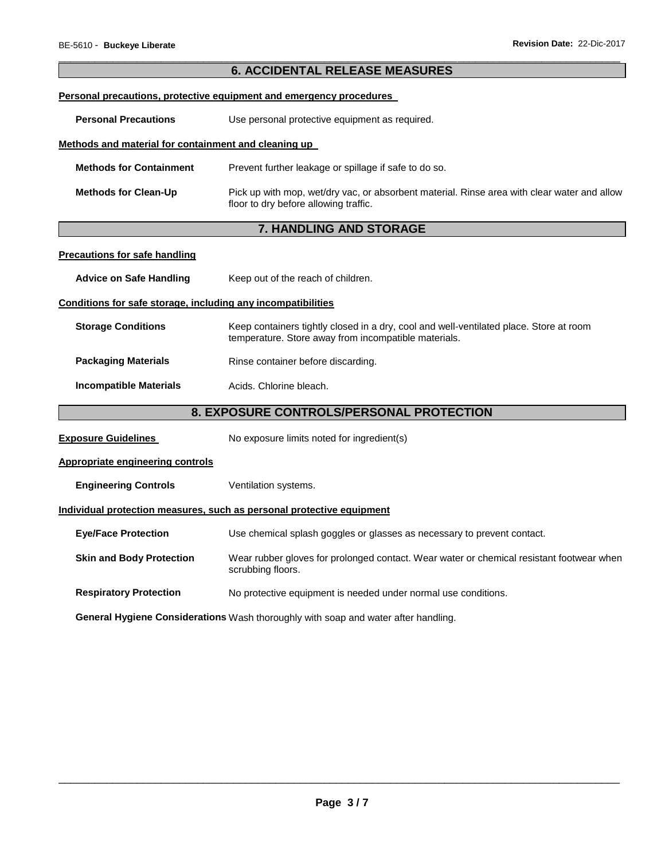|                                                                                    | <b>6. ACCIDENTAL RELEASE MEASURES</b>                                                                                                          |  |  |
|------------------------------------------------------------------------------------|------------------------------------------------------------------------------------------------------------------------------------------------|--|--|
|                                                                                    |                                                                                                                                                |  |  |
|                                                                                    | Personal precautions, protective equipment and emergency procedures                                                                            |  |  |
| <b>Personal Precautions</b>                                                        | Use personal protective equipment as required.                                                                                                 |  |  |
| Methods and material for containment and cleaning up                               |                                                                                                                                                |  |  |
| <b>Methods for Containment</b>                                                     | Prevent further leakage or spillage if safe to do so.                                                                                          |  |  |
| <b>Methods for Clean-Up</b>                                                        | Pick up with mop, wet/dry vac, or absorbent material. Rinse area with clear water and allow<br>floor to dry before allowing traffic.           |  |  |
|                                                                                    | 7. HANDLING AND STORAGE                                                                                                                        |  |  |
| Precautions for safe handling                                                      |                                                                                                                                                |  |  |
| <b>Advice on Safe Handling</b>                                                     | Keep out of the reach of children.                                                                                                             |  |  |
| Conditions for safe storage, including any incompatibilities                       |                                                                                                                                                |  |  |
| <b>Storage Conditions</b>                                                          | Keep containers tightly closed in a dry, cool and well-ventilated place. Store at room<br>temperature. Store away from incompatible materials. |  |  |
| <b>Packaging Materials</b>                                                         | Rinse container before discarding.                                                                                                             |  |  |
| <b>Incompatible Materials</b>                                                      | Acids. Chlorine bleach.                                                                                                                        |  |  |
|                                                                                    | 8. EXPOSURE CONTROLS/PERSONAL PROTECTION                                                                                                       |  |  |
| <b>Exposure Guidelines</b>                                                         | No exposure limits noted for ingredient(s)                                                                                                     |  |  |
| <b>Appropriate engineering controls</b>                                            |                                                                                                                                                |  |  |
| <b>Engineering Controls</b>                                                        | Ventilation systems.                                                                                                                           |  |  |
|                                                                                    | Individual protection measures, such as personal protective equipment                                                                          |  |  |
| <b>Eye/Face Protection</b>                                                         | Use chemical splash goggles or glasses as necessary to prevent contact.                                                                        |  |  |
| <b>Skin and Body Protection</b>                                                    | Wear rubber gloves for prolonged contact. Wear water or chemical resistant footwear when<br>scrubbing floors.                                  |  |  |
| <b>Respiratory Protection</b>                                                      | No protective equipment is needed under normal use conditions.                                                                                 |  |  |
| General Hygiene Considerations Wash thoroughly with soap and water after handling. |                                                                                                                                                |  |  |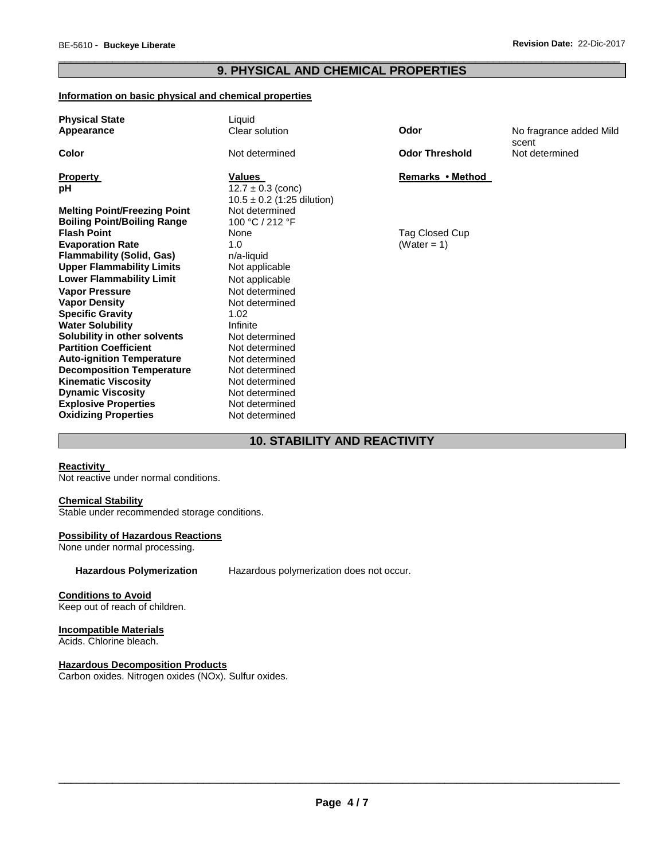# \_\_\_\_\_\_\_\_\_\_\_\_\_\_\_\_\_\_\_\_\_\_\_\_\_\_\_\_\_\_\_\_\_\_\_\_\_\_\_\_\_\_\_\_\_\_\_\_\_\_\_\_\_\_\_\_\_\_\_\_\_\_\_\_\_\_\_\_\_\_\_\_\_\_\_\_\_\_\_\_\_\_\_\_\_\_\_\_\_\_\_\_\_ **9. PHYSICAL AND CHEMICAL PROPERTIES**

## **Information on basic physical and chemical properties**

| <b>Physical State</b><br>Appearance | Liquid<br>Clear solution                                | Odor                  | No fragrance added Mild |
|-------------------------------------|---------------------------------------------------------|-----------------------|-------------------------|
| Color                               | Not determined                                          | <b>Odor Threshold</b> | scent<br>Not determined |
| <b>Property</b>                     | Values                                                  | Remarks • Method      |                         |
| рH                                  | $12.7 \pm 0.3$ (conc)<br>$10.5 \pm 0.2$ (1:25 dilution) |                       |                         |
| <b>Melting Point/Freezing Point</b> | Not determined                                          |                       |                         |
| <b>Boiling Point/Boiling Range</b>  | 100 °C / 212 °F                                         |                       |                         |
| <b>Flash Point</b>                  | None                                                    | Tag Closed Cup        |                         |
| <b>Evaporation Rate</b>             | 1.0                                                     | (Water = 1)           |                         |
| <b>Flammability (Solid, Gas)</b>    | n/a-liquid                                              |                       |                         |
| <b>Upper Flammability Limits</b>    | Not applicable                                          |                       |                         |
| <b>Lower Flammability Limit</b>     | Not applicable                                          |                       |                         |
| <b>Vapor Pressure</b>               | Not determined                                          |                       |                         |
| <b>Vapor Density</b>                | Not determined                                          |                       |                         |
| <b>Specific Gravity</b>             | 1.02                                                    |                       |                         |
| <b>Water Solubility</b>             | Infinite                                                |                       |                         |
| Solubility in other solvents        | Not determined                                          |                       |                         |
| <b>Partition Coefficient</b>        | Not determined                                          |                       |                         |
| <b>Auto-ignition Temperature</b>    | Not determined                                          |                       |                         |
| <b>Decomposition Temperature</b>    | Not determined                                          |                       |                         |
| <b>Kinematic Viscosity</b>          | Not determined                                          |                       |                         |
| <b>Dynamic Viscosity</b>            | Not determined                                          |                       |                         |
| <b>Explosive Properties</b>         | Not determined                                          |                       |                         |
| <b>Oxidizing Properties</b>         | Not determined                                          |                       |                         |

# **10. STABILITY AND REACTIVITY**

# **Reactivity**

Not reactive under normal conditions.

#### **Chemical Stability**

Stable under recommended storage conditions.

#### **Possibility of Hazardous Reactions**

None under normal processing.

**Hazardous Polymerization** Hazardous polymerization does not occur.

#### **Conditions to Avoid**

Keep out of reach of children.

# **Incompatible Materials**

Acids. Chlorine bleach.

#### **Hazardous Decomposition Products**

Carbon oxides. Nitrogen oxides (NOx). Sulfur oxides.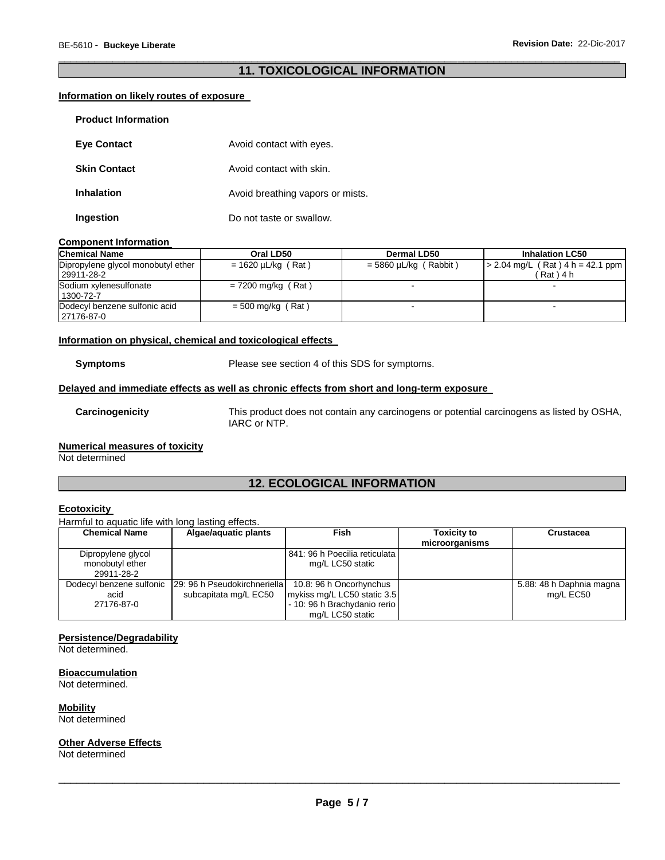# \_\_\_\_\_\_\_\_\_\_\_\_\_\_\_\_\_\_\_\_\_\_\_\_\_\_\_\_\_\_\_\_\_\_\_\_\_\_\_\_\_\_\_\_\_\_\_\_\_\_\_\_\_\_\_\_\_\_\_\_\_\_\_\_\_\_\_\_\_\_\_\_\_\_\_\_\_\_\_\_\_\_\_\_\_\_\_\_\_\_\_\_\_ **11. TOXICOLOGICAL INFORMATION**

## **Information on likely routes of exposure**

| <b>Eye Contact</b>  | Avoid contact with eyes.         |
|---------------------|----------------------------------|
| <b>Skin Contact</b> | Avoid contact with skin.         |
| Inhalation          | Avoid breathing vapors or mists. |
| Ingestion           | Do not taste or swallow.         |

#### **Component Information**

| <b>Chemical Name</b>                             | Oral LD50               | Dermal LD50             | <b>Inhalation LC50</b>                               |
|--------------------------------------------------|-------------------------|-------------------------|------------------------------------------------------|
| Dipropylene glycol monobutyl ether<br>29911-28-2 | $= 1620 \mu L/kg$ (Rat) | $=$ 5860 µL/kg (Rabbit) | $\vert$ > 2.04 mg/L (Rat) 4 h = 42.1 ppm<br>(Rat)4 h |
| Sodium xylenesulfonate<br>1300-72-7              | $= 7200$ mg/kg (Rat)    |                         |                                                      |
| Dodecyl benzene sulfonic acid<br>127176-87-0     | $= 500$ mg/kg (Rat)     |                         |                                                      |

## **Information on physical, chemical and toxicological effects**

**Symptoms** Please see section 4 of this SDS for symptoms.

## **Delayed and immediate effects as well as chronic effects from short and long-term exposure**

**Carcinogenicity** This product does not contain any carcinogens or potential carcinogens as listed by OSHA, IARC or NTP.

#### **Numerical measures of toxicity**

Not determined

# **12. ECOLOGICAL INFORMATION**

# **Ecotoxicity**

#### Harmful to aquatic life with long lasting effects.

| <b>Chemical Name</b>                                | Algae/aquatic plants                                   | Fish                                                                                                       | <b>Toxicity to</b><br>microorganisms | Crustacea                             |
|-----------------------------------------------------|--------------------------------------------------------|------------------------------------------------------------------------------------------------------------|--------------------------------------|---------------------------------------|
| Dipropylene glycol<br>monobutyl ether<br>29911-28-2 |                                                        | 841: 96 h Poecilia reticulata<br>mg/L LC50 static                                                          |                                      |                                       |
| Dodecyl benzene sulfonic<br>acid<br>27176-87-0      | 129: 96 h Pseudokirchneriella<br>subcapitata mg/L EC50 | 10.8: 96 h Oncorhynchus<br>mykiss mg/L LC50 static 3.5<br>- 10: 96 h Brachydanio rerio<br>mg/L LC50 static |                                      | 5.88: 48 h Daphnia magna<br>mg/L EC50 |

## **Persistence/Degradability**

Not determined.

#### **Bioaccumulation**

Not determined.

**Mobility** Not determined

#### **Other Adverse Effects**

Not determined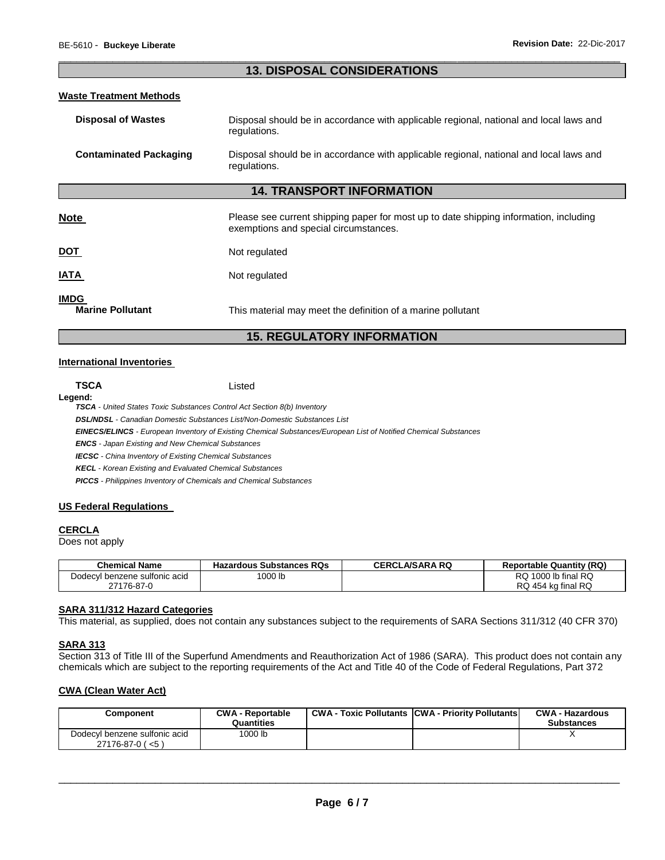# \_\_\_\_\_\_\_\_\_\_\_\_\_\_\_\_\_\_\_\_\_\_\_\_\_\_\_\_\_\_\_\_\_\_\_\_\_\_\_\_\_\_\_\_\_\_\_\_\_\_\_\_\_\_\_\_\_\_\_\_\_\_\_\_\_\_\_\_\_\_\_\_\_\_\_\_\_\_\_\_\_\_\_\_\_\_\_\_\_\_\_\_\_ **13. DISPOSAL CONSIDERATIONS**

## **Waste Treatment Methods**

| <b>Disposal of Wastes</b>              | Disposal should be in accordance with applicable regional, national and local laws and<br>regulations.                         |
|----------------------------------------|--------------------------------------------------------------------------------------------------------------------------------|
| <b>Contaminated Packaging</b>          | Disposal should be in accordance with applicable regional, national and local laws and<br>regulations.                         |
|                                        | <b>14. TRANSPORT INFORMATION</b>                                                                                               |
| <b>Note</b>                            | Please see current shipping paper for most up to date shipping information, including<br>exemptions and special circumstances. |
| <b>DOT</b>                             | Not regulated                                                                                                                  |
| <b>IATA</b>                            | Not regulated                                                                                                                  |
| <b>IMDG</b><br><b>Marine Pollutant</b> | This material may meet the definition of a marine pollutant                                                                    |

# **15. REGULATORY INFORMATION**

#### **International Inventories**

**TSCA** Listed

# **Legend:**

*TSCA - United States Toxic Substances Control Act Section 8(b) Inventory* 

*DSL/NDSL - Canadian Domestic Substances List/Non-Domestic Substances List* 

*EINECS/ELINCS - European Inventory of Existing Chemical Substances/European List of Notified Chemical Substances* 

*ENCS - Japan Existing and New Chemical Substances* 

*IECSC - China Inventory of Existing Chemical Substances* 

*KECL - Korean Existing and Evaluated Chemical Substances* 

*PICCS - Philippines Inventory of Chemicals and Chemical Substances* 

#### **US Federal Regulations**

#### **CERCLA**

Does not apply

| <b>Chemical Name</b>          | <b>Hazardous Substances RQs</b> | <b>CERCLA/SARA RQ</b> | <b>Reportable Quantity (RQ)</b> |
|-------------------------------|---------------------------------|-----------------------|---------------------------------|
| Dodecyl benzene sulfonic acid | <sup>1</sup> 000 lb             |                       | RQ 1000 lb final RQ             |
| 27176-87-0                    |                                 |                       | RQ 454 kg final RQ              |

#### **SARA 311/312 Hazard Categories**

This material, as supplied, does not contain any substances subject to the requirements of SARA Sections 311/312 (40 CFR 370)

#### **SARA 313**

Section 313 of Title III of the Superfund Amendments and Reauthorization Act of 1986 (SARA). This product does not contain any chemicals which are subject to the reporting requirements of the Act and Title 40 of the Code of Federal Regulations, Part 372

#### **CWA (Clean Water Act)**

| Component                                                   | <b>CWA - Reportable</b><br>Quantities | <b>CWA - Toxic Pollutants CWA - Priority Pollutants</b> | <b>CWA - Hazardous</b><br><b>Substances</b> |
|-------------------------------------------------------------|---------------------------------------|---------------------------------------------------------|---------------------------------------------|
| Dodecyl benzene sulfonic acid<br>$27176 - 87 - 0$ ( $< 5$ ) | 1000 lb                               |                                                         |                                             |